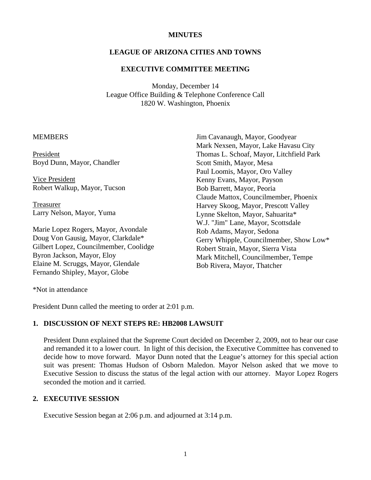# **MINUTES**

## **LEAGUE OF ARIZONA CITIES AND TOWNS**

#### **EXECUTIVE COMMITTEE MEETING**

Monday, December 14 League Office Building & Telephone Conference Call 1820 W. Washington, Phoenix

# MEMBERS

President Boyd Dunn, Mayor, Chandler

 Vice President Robert Walkup, Mayor, Tucson

 Treasurer Larry Nelson, Mayor, Yuma

Marie Lopez Rogers, Mayor, Avondale Doug Von Gausig, Mayor, Clarkdale\* Gilbert Lopez, Councilmember, Coolidge Byron Jackson, Mayor, Eloy Elaine M. Scruggs, Mayor, Glendale Fernando Shipley, Mayor, Globe

Jim Cavanaugh, Mayor, Goodyear Mark Nexsen, Mayor, Lake Havasu City Thomas L. Schoaf, Mayor, Litchfield Park Scott Smith, Mayor, Mesa Paul Loomis, Mayor, Oro Valley Kenny Evans, Mayor, Payson Bob Barrett, Mayor, Peoria Claude Mattox, Councilmember, Phoenix Harvey Skoog, Mayor, Prescott Valley Lynne Skelton, Mayor, Sahuarita\* W.J. "Jim" Lane, Mayor, Scottsdale Rob Adams, Mayor, Sedona Gerry Whipple, Councilmember, Show Low\* Robert Strain, Mayor, Sierra Vista Mark Mitchell, Councilmember, Tempe Bob Rivera, Mayor, Thatcher

\*Not in attendance

President Dunn called the meeting to order at 2:01 p.m.

#### **1. DISCUSSION OF NEXT STEPS RE: HB2008 LAWSUIT**

President Dunn explained that the Supreme Court decided on December 2, 2009, not to hear our case and remanded it to a lower court. In light of this decision, the Executive Committee has convened to decide how to move forward. Mayor Dunn noted that the League's attorney for this special action suit was present: Thomas Hudson of Osborn Maledon. Mayor Nelson asked that we move to Executive Session to discuss the status of the legal action with our attorney. Mayor Lopez Rogers seconded the motion and it carried.

#### **2. EXECUTIVE SESSION**

Executive Session began at 2:06 p.m. and adjourned at 3:14 p.m.